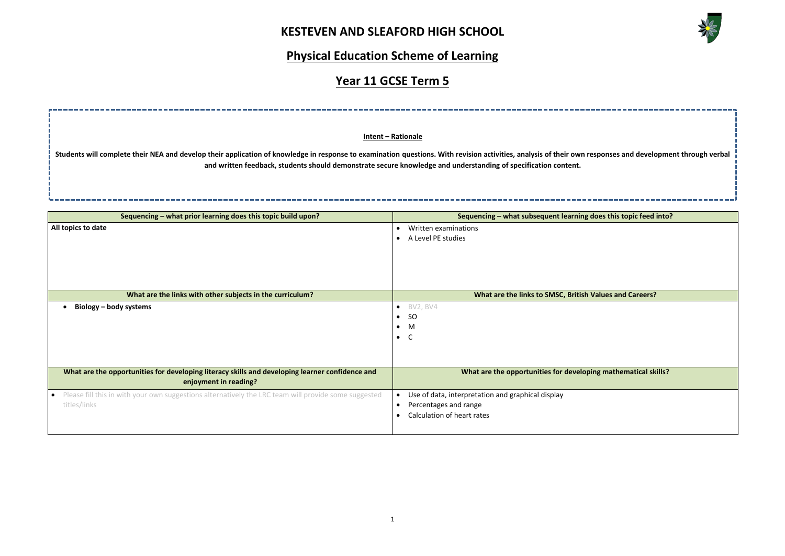### **KESTEVEN AND SLEAFORD HIGH SCHOOL**



## **Physical Education Scheme of Learning**

## **Year 11 GCSE Term 5**



| Sequencing - what prior learning does this topic build upon?                                                             | Sequencing - what subsequent learning of                                                                                           |  |  |
|--------------------------------------------------------------------------------------------------------------------------|------------------------------------------------------------------------------------------------------------------------------------|--|--|
| All topics to date                                                                                                       | Written examinations<br>$\bullet$<br>A Level PE studies                                                                            |  |  |
| What are the links with other subjects in the curriculum?                                                                | What are the links to SMSC, British \                                                                                              |  |  |
| Biology – body systems                                                                                                   | BV2, BV4<br>$\bullet$<br><b>SO</b><br>$\bullet$<br>M<br>$\bullet$<br>$\bullet$                                                     |  |  |
| What are the opportunities for developing literacy skills and developing learner confidence and<br>enjoyment in reading? | What are the opportunities for developi                                                                                            |  |  |
| Please fill this in with your own suggestions alternatively the LRC team will provide some suggested<br>titles/links     | Use of data, interpretation and graphical display<br>$\bullet$<br>Percentages and range<br>$\bullet$<br>Calculation of heart rates |  |  |

**Intent – Rationale**

**Students will complete their NEA and develop their application of knowledge in response to examination questions. With revision activities, analysis of their own responses and development through verbal and written feedback, students should demonstrate secure knowledge and understanding of specification content.**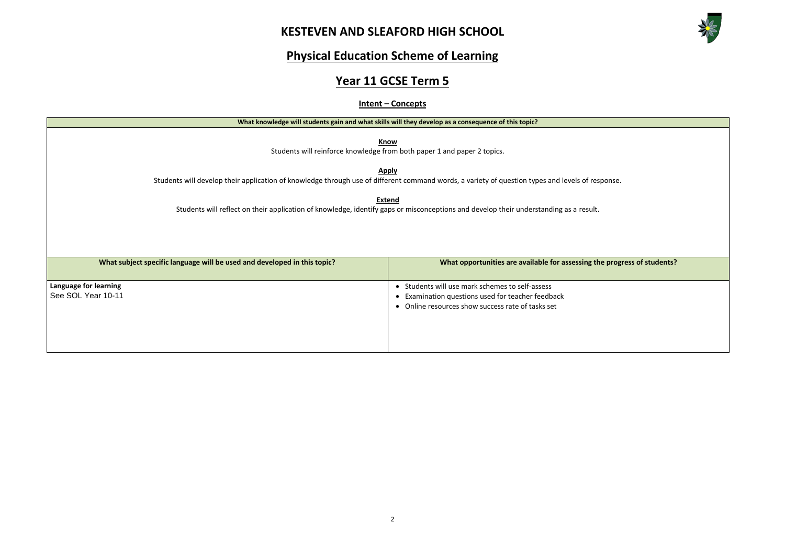## **KESTEVEN AND SLEAFORD HIGH SCHOOL**



**What ing the progress of students?** 

# **Physical Education Scheme of Learning**

# **Year 11 GCSE Term 5**

#### **Intent – Concepts**

|                                                                          | What knowledge will students gain and what skills will they develop as a consequence of this topic?                                                                                        |
|--------------------------------------------------------------------------|--------------------------------------------------------------------------------------------------------------------------------------------------------------------------------------------|
|                                                                          | Know<br>Students will reinforce knowledge from both paper 1 and paper 2 topics.                                                                                                            |
|                                                                          | <b>Apply</b><br>Students will develop their application of knowledge through use of different command words, a variety of question types and levels of response.                           |
|                                                                          | <b>Extend</b><br>Students will reflect on their application of knowledge, identify gaps or misconceptions and develop their understanding as a result.                                     |
| What subject specific language will be used and developed in this topic? | What opportunities are available for assessing the progr                                                                                                                                   |
| Language for learning<br>See SOL Year 10-11                              | Students will use mark schemes to self-assess<br>$\bullet$<br>Examination questions used for teacher feedback<br>$\bullet$<br>Online resources show success rate of tasks set<br>$\bullet$ |